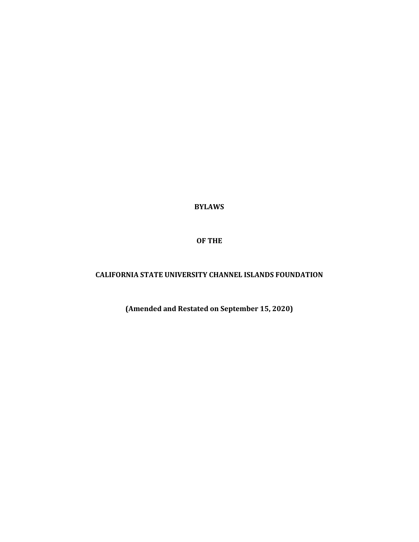**BYLAWS**

**OF THE**

# **CALIFORNIA STATE UNIVERSITY CHANNEL ISLANDS FOUNDATION**

**(Amended and Restated on September 15, 2020)**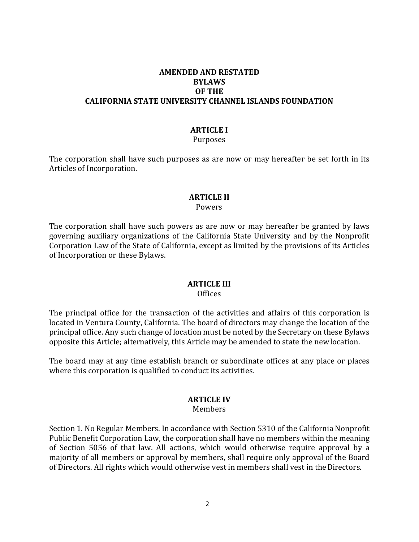## **AMENDED AND RESTATED BYLAWS OF THE CALIFORNIA STATE UNIVERSITY CHANNEL ISLANDS FOUNDATION**

#### **ARTICLE I**

#### Purposes

The corporation shall have such purposes as are now or may hereafter be set forth in its Articles of Incorporation.

# **ARTICLE II**

#### Powers

The corporation shall have such powers as are now or may hereafter be granted by laws governing auxiliary organizations of the California State University and by the Nonprofit Corporation Law of the State of California, except as limited by the provisions of its Articles of Incorporation or these Bylaws.

#### **ARTICLE III**

#### **Offices**

The principal office for the transaction of the activities and affairs of this corporation is located in Ventura County, California. The board of directors may change the location of the principal office. Any such change of location must be noted by the Secretary on these Bylaws opposite this Article; alternatively, this Article may be amended to state the newlocation.

The board may at any time establish branch or subordinate offices at any place or places where this corporation is qualified to conduct its activities.

# **ARTICLE IV**

#### Members

Section 1. No Regular Members. In accordance with Section 5310 of the California Nonprofit Public Benefit Corporation Law, the corporation shall have no members within the meaning of Section 5056 of that law. All actions, which would otherwise require approval by a majority of all members or approval by members, shall require only approval of the Board of Directors. All rights which would otherwise vest in members shall vest in theDirectors.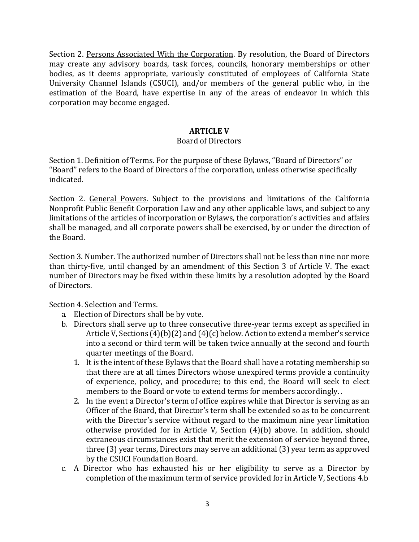Section 2. Persons Associated With the Corporation. By resolution, the Board of Directors may create any advisory boards, task forces, councils, honorary memberships or other bodies, as it deems appropriate, variously constituted of employees of California State University Channel Islands (CSUCI), and/or members of the general public who, in the estimation of the Board, have expertise in any of the areas of endeavor in which this corporation may become engaged.

# **ARTICLE V**

# Board of Directors

Section 1. Definition of Terms. For the purpose of these Bylaws, "Board of Directors" or "Board" refers to the Board of Directors of the corporation, unless otherwise specifically indicated.

Section 2. General Powers. Subject to the provisions and limitations of the California Nonprofit Public Benefit Corporation Law and any other applicable laws, and subject to any limitations of the articles of incorporation or Bylaws, the corporation's activities and affairs shall be managed, and all corporate powers shall be exercised, by or under the direction of the Board.

Section 3. Number. The authorized number of Directors shall not be less than nine nor more than thirty-five, until changed by an amendment of this Section 3 of Article V. The exact number of Directors may be fixed within these limits by a resolution adopted by the Board of Directors.

Section 4. Selection and Terms.

- a. Election of Directors shall be by vote.
- b. Directors shall serve up to three consecutive three-year terms except as specified in Article V, Sections (4)(b)(2) and (4)(c) below. Action to extend a member's service into a second or third term will be taken twice annually at the second and fourth quarter meetings of the Board.
	- 1. It is the intent of these Bylaws that the Board shall have a rotating membership so that there are at all times Directors whose unexpired terms provide a continuity of experience, policy, and procedure; to this end, the Board will seek to elect members to the Board or vote to extend terms for members accordingly. .
	- 2. In the event a Director's term of office expires while that Director is serving as an Officer of the Board, that Director's term shall be extended so as to be concurrent with the Director's service without regard to the maximum nine year limitation otherwise provided for in Article V, Section (4)(b) above. In addition, should extraneous circumstances exist that merit the extension of service beyond three, three (3) year terms, Directors may serve an additional (3) year term as approved by the CSUCI Foundation Board.
- c. A Director who has exhausted his or her eligibility to serve as a Director by completion of the maximum term of service provided for in Article V, Sections 4.b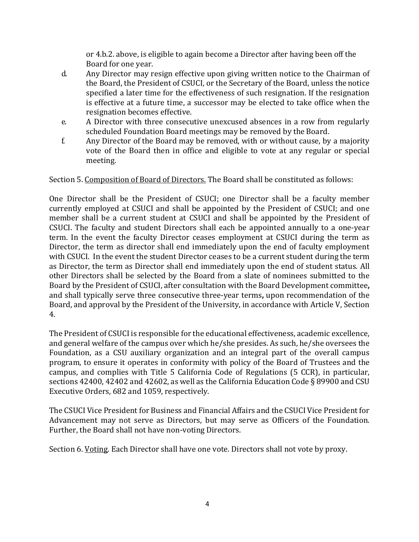or 4.b.2. above, is eligible to again become a Director after having been off the Board for one year.

- d. Any Director may resign effective upon giving written notice to the Chairman of the Board, the President of CSUCI, or the Secretary of the Board, unless the notice specified a later time for the effectiveness of such resignation. If the resignation is effective at a future time, a successor may be elected to take office when the resignation becomes effective.
- e. A Director with three consecutive unexcused absences in a row from regularly scheduled Foundation Board meetings may be removed by the Board.
- f. Any Director of the Board may be removed, with or without cause, by a majority vote of the Board then in office and eligible to vote at any regular or special meeting.

Section 5. Composition of Board of Directors. The Board shall be constituted as follows:

One Director shall be the President of CSUCI; one Director shall be a faculty member currently employed at CSUCI and shall be appointed by the President of CSUCI; and one member shall be a current student at CSUCI and shall be appointed by the President of CSUCI. The faculty and student Directors shall each be appointed annually to a one-year term. In the event the faculty Director ceases employment at CSUCI during the term as Director, the term as director shall end immediately upon the end of faculty employment with CSUCI. In the event the student Director ceases to be a current student during the term as Director, the term as Director shall end immediately upon the end of student status. All other Directors shall be selected by the Board from a slate of nominees submitted to the Board by the President of CSUCI, after consultation with the Board Development committee**,**  and shall typically serve three consecutive three-year terms**,** upon recommendation of the Board, and approval by the President of the University, in accordance with Article V, Section 4.

The President of CSUCI is responsible for the educational effectiveness, academic excellence, and general welfare of the campus over which he/she presides. As such, he/she oversees the Foundation, as a CSU auxiliary organization and an integral part of the overall campus program, to ensure it operates in conformity with policy of the Board of Trustees and the campus, and complies with Title 5 California Code of Regulations (5 CCR), in particular, sections 42400, 42402 and 42602, as well as the California Education Code § 89900 and CSU Executive Orders, 682 and 1059, respectively.

The CSUCI Vice President for Business and Financial Affairs and the CSUCI Vice President for Advancement may not serve as Directors, but may serve as Officers of the Foundation. Further, the Board shall not have non-voting Directors.

Section 6. Voting. Each Director shall have one vote. Directors shall not vote by proxy.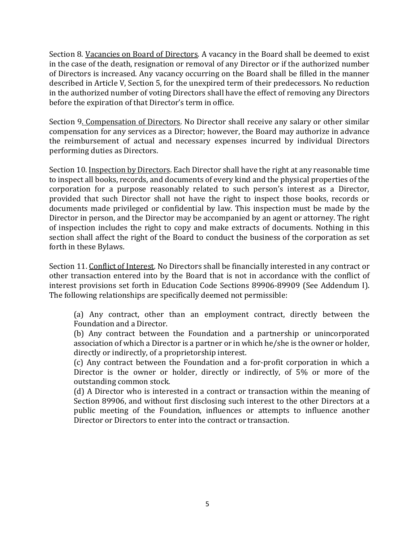Section 8. Vacancies on Board of Directors. A vacancy in the Board shall be deemed to exist in the case of the death, resignation or removal of any Director or if the authorized number of Directors is increased. Any vacancy occurring on the Board shall be filled in the manner described in Article V, Section 5, for the unexpired term of their predecessors. No reduction in the authorized number of voting Directors shall have the effect of removing any Directors before the expiration of that Director's term in office.

Section 9. Compensation of Directors. No Director shall receive any salary or other similar compensation for any services as a Director; however, the Board may authorize in advance the reimbursement of actual and necessary expenses incurred by individual Directors performing duties as Directors.

Section 10. Inspection by Directors. Each Director shall have the right at any reasonable time to inspect all books, records, and documents of every kind and the physical properties of the corporation for a purpose reasonably related to such person's interest as a Director, provided that such Director shall not have the right to inspect those books, records or documents made privileged or confidential by law. This inspection must be made by the Director in person, and the Director may be accompanied by an agent or attorney. The right of inspection includes the right to copy and make extracts of documents. Nothing in this section shall affect the right of the Board to conduct the business of the corporation as set forth in these Bylaws.

Section 11. Conflict of Interest. No Directors shall be financially interested in any contract or other transaction entered into by the Board that is not in accordance with the conflict of interest provisions set forth in Education Code Sections 89906-89909 (See Addendum I). The following relationships are specifically deemed not permissible:

(a) Any contract, other than an employment contract, directly between the Foundation and a Director.

(b) Any contract between the Foundation and a partnership or unincorporated association of which a Director is a partner or in which he/she is the owner or holder, directly or indirectly, of a proprietorship interest.

(c) Any contract between the Foundation and a for-profit corporation in which a Director is the owner or holder, directly or indirectly, of 5% or more of the outstanding common stock.

(d) A Director who is interested in a contract or transaction within the meaning of Section 89906, and without first disclosing such interest to the other Directors at a public meeting of the Foundation, influences or attempts to influence another Director or Directors to enter into the contract or transaction.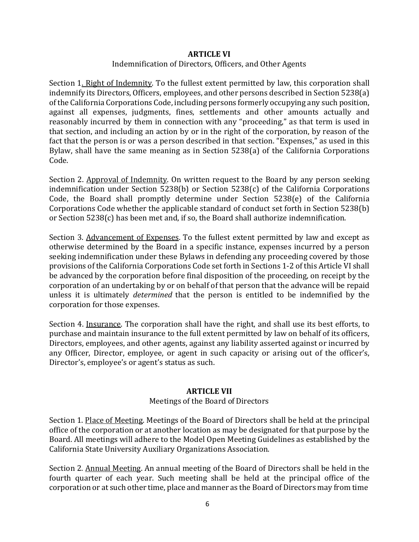#### **ARTICLE VI**

#### Indemnification of Directors, Officers, and Other Agents

Section 1. Right of Indemnity. To the fullest extent permitted by law, this corporation shall indemnify its Directors, Officers, employees, and other persons described in Section 5238(a) of the California Corporations Code, including persons formerly occupying any such position, against all expenses, judgments, fines, settlements and other amounts actually and reasonably incurred by them in connection with any "proceeding," as that term is used in that section, and including an action by or in the right of the corporation, by reason of the fact that the person is or was a person described in that section. "Expenses," as used in this Bylaw, shall have the same meaning as in Section 5238(a) of the California Corporations Code.

Section 2. Approval of Indemnity. On written request to the Board by any person seeking indemnification under Section 5238(b) or Section 5238(c) of the California Corporations Code, the Board shall promptly determine under Section 5238(e) of the California Corporations Code whether the applicable standard of conduct set forth in Section 5238(b) or Section 5238(c) has been met and, if so, the Board shall authorize indemnification.

Section 3. Advancement of Expenses. To the fullest extent permitted by law and except as otherwise determined by the Board in a specific instance, expenses incurred by a person seeking indemnification under these Bylaws in defending any proceeding covered by those provisions of the California Corporations Code set forth in Sections 1-2 of this Article VI shall be advanced by the corporation before final disposition of the proceeding, on receipt by the corporation of an undertaking by or on behalf of that person that the advance will be repaid unless it is ultimately *determined* that the person is entitled to be indemnified by the corporation for those expenses.

Section 4. Insurance. The corporation shall have the right, and shall use its best efforts, to purchase and maintain insurance to the full extent permitted by law on behalf of its officers, Directors, employees, and other agents, against any liability asserted against or incurred by any Officer, Director, employee, or agent in such capacity or arising out of the officer's, Director's, employee's or agent's status as such.

#### **ARTICLE VII**

#### Meetings of the Board of Directors

Section 1. Place of Meeting. Meetings of the Board of Directors shall be held at the principal office of the corporation or at another location as may be designated for that purpose by the Board. All meetings will adhere to the Model Open Meeting Guidelines as established by the California State University Auxiliary Organizations Association.

Section 2. Annual Meeting. An annual meeting of the Board of Directors shall be held in the fourth quarter of each year. Such meeting shall be held at the principal office of the corporation or at such other time, place and manner as the Board of Directors may from time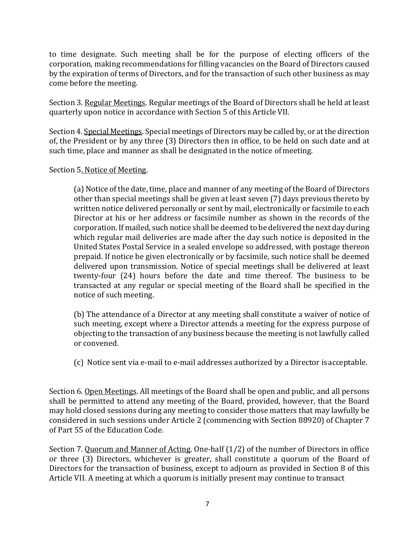to time designate. Such meeting shall be for the purpose of electing officers of the corporation, making recommendations for filling vacancies on the Board of Directors caused by the expiration of terms of Directors, and for the transaction of such other business as may come before the meeting.

Section 3. Regular Meetings. Regular meetings of the Board of Directors shall be held at least quarterly upon notice in accordance with Section 5 of this Article VII.

Section 4. Special Meetings. Special meetings of Directors may be called by, or at the direction of, the President or by any three (3) Directors then in office, to be held on such date and at such time, place and manner as shall be designated in the notice of meeting.

# Section 5. Notice of Meeting.

(a) Notice of the date, time, place and manner of any meeting of the Board of Directors other than special meetings shall be given at least seven (7) days previous thereto by written notice delivered personally or sent by mail, electronically or facsimile to each Director at his or her address or facsimile number as shown in the records of the corporation. If mailed, such notice shall be deemed to be delivered the next day during which regular mail deliveries are made after the day such notice is deposited in the United States Postal Service in a sealed envelope so addressed, with postage thereon prepaid. If notice be given electronically or by facsimile, such notice shall be deemed delivered upon transmission. Notice of special meetings shall be delivered at least twenty-four (24) hours before the date and time thereof. The business to be transacted at any regular or special meeting of the Board shall be specified in the notice of such meeting.

(b) The attendance of a Director at any meeting shall constitute a waiver of notice of such meeting, except where a Director attends a meeting for the express purpose of objecting to the transaction of any business because the meeting is not lawfully called or convened.

(c) Notice sent via e-mail to e-mail addresses authorized by a Director isacceptable.

Section 6. Open Meetings. All meetings of the Board shall be open and public, and all persons shall be permitted to attend any meeting of the Board, provided, however, that the Board may hold closed sessions during any meeting to consider those matters that may lawfully be considered in such sessions under Article 2 (commencing with Section 88920) of Chapter 7 of Part 55 of the Education Code.

Section 7. Quorum and Manner of Acting. One-half (1/2) of the number of Directors in office or three (3) Directors, whichever is greater, shall constitute a quorum of the Board of Directors for the transaction of business, except to adjourn as provided in Section 8 of this Article VII. A meeting at which a quorum is initially present may continue to transact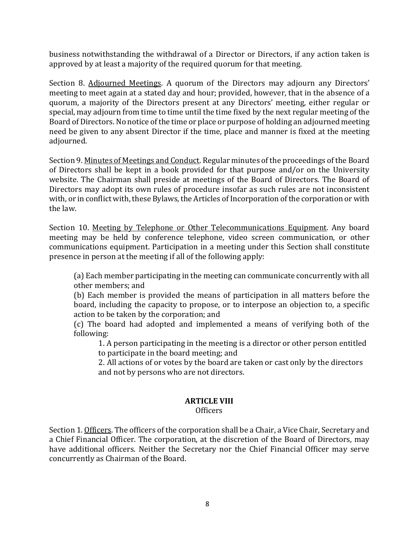business notwithstanding the withdrawal of a Director or Directors, if any action taken is approved by at least a majority of the required quorum for that meeting.

Section 8. Adjourned Meetings. A quorum of the Directors may adjourn any Directors' meeting to meet again at a stated day and hour; provided, however, that in the absence of a quorum, a majority of the Directors present at any Directors' meeting, either regular or special, may adjourn from time to time until the time fixed by the next regular meeting of the Board of Directors. No notice of the time or place or purpose of holding an adjourned meeting need be given to any absent Director if the time, place and manner is fixed at the meeting adjourned.

Section 9. Minutes of Meetings and Conduct. Regular minutes of the proceedings of the Board of Directors shall be kept in a book provided for that purpose and/or on the University website. The Chairman shall preside at meetings of the Board of Directors. The Board of Directors may adopt its own rules of procedure insofar as such rules are not inconsistent with, or in conflict with, these Bylaws, the Articles of Incorporation of the corporation or with the law.

Section 10. Meeting by Telephone or Other Telecommunications Equipment. Any board meeting may be held by conference telephone, video screen communication, or other communications equipment. Participation in a meeting under this Section shall constitute presence in person at the meeting if all of the following apply:

(a) Each member participating in the meeting can communicate concurrently with all other members; and

(b) Each member is provided the means of participation in all matters before the board, including the capacity to propose, or to interpose an objection to, a specific action to be taken by the corporation; and

(c) The board had adopted and implemented a means of verifying both of the following:

1. A person participating in the meeting is a director or other person entitled to participate in the board meeting; and

2. All actions of or votes by the board are taken or cast only by the directors and not by persons who are not directors.

# **ARTICLE VIII**

#### **Officers**

Section 1. Officers. The officers of the corporation shall be a Chair, a Vice Chair, Secretary and a Chief Financial Officer. The corporation, at the discretion of the Board of Directors, may have additional officers. Neither the Secretary nor the Chief Financial Officer may serve concurrently as Chairman of the Board.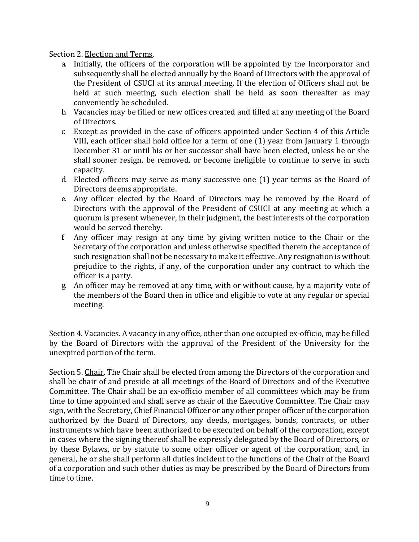Section 2. Election and Terms.

- a. Initially, the officers of the corporation will be appointed by the Incorporator and subsequently shall be elected annually by the Board of Directors with the approval of the President of CSUCI at its annual meeting. If the election of Officers shall not be held at such meeting, such election shall be held as soon thereafter as may conveniently be scheduled.
- b. Vacancies may be filled or new offices created and filled at any meeting of the Board of Directors.
- c. Except as provided in the case of officers appointed under Section 4 of this Article VIII, each officer shall hold office for a term of one (1) year from January 1 through December 31 or until his or her successor shall have been elected, unless he or she shall sooner resign, be removed, or become ineligible to continue to serve in such capacity.
- d. Elected officers may serve as many successive one (1) year terms as the Board of Directors deems appropriate.
- e. Any officer elected by the Board of Directors may be removed by the Board of Directors with the approval of the President of CSUCI at any meeting at which a quorum is present whenever, in their judgment, the best interests of the corporation would be served thereby.
- f. Any officer may resign at any time by giving written notice to the Chair or the Secretary of the corporation and unless otherwise specified therein the acceptance of such resignation shall not be necessary to make it effective. Any resignation is without prejudice to the rights, if any, of the corporation under any contract to which the officer is a party.
- g. An officer may be removed at any time, with or without cause, by a majority vote of the members of the Board then in office and eligible to vote at any regular or special meeting.

Section 4. Vacancies. A vacancy in any office, other than one occupied ex-officio, may be filled by the Board of Directors with the approval of the President of the University for the unexpired portion of the term.

Section 5. Chair. The Chair shall be elected from among the Directors of the corporation and shall be chair of and preside at all meetings of the Board of Directors and of the Executive Committee. The Chair shall be an ex-officio member of all committees which may be from time to time appointed and shall serve as chair of the Executive Committee. The Chair may sign, with the Secretary, Chief Financial Officer or any other proper officer of the corporation authorized by the Board of Directors, any deeds, mortgages, bonds, contracts, or other instruments which have been authorized to be executed on behalf of the corporation, except in cases where the signing thereof shall be expressly delegated by the Board of Directors, or by these Bylaws, or by statute to some other officer or agent of the corporation; and, in general, he or she shall perform all duties incident to the functions of the Chair of the Board of a corporation and such other duties as may be prescribed by the Board of Directors from time to time.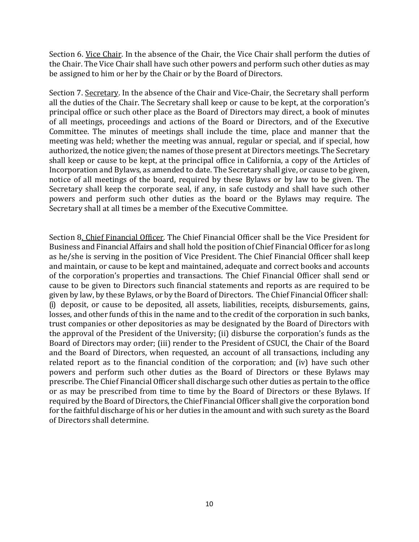Section 6. Vice Chair. In the absence of the Chair, the Vice Chair shall perform the duties of the Chair. The Vice Chair shall have such other powers and perform such other duties as may be assigned to him or her by the Chair or by the Board of Directors.

Section 7. Secretary. In the absence of the Chair and Vice-Chair, the Secretary shall perform all the duties of the Chair. The Secretary shall keep or cause to be kept, at the corporation's principal office or such other place as the Board of Directors may direct, a book of minutes of all meetings, proceedings and actions of the Board or Directors, and of the Executive Committee. The minutes of meetings shall include the time, place and manner that the meeting was held; whether the meeting was annual, regular or special, and if special, how authorized, the notice given; the names of those present at Directors meetings. The Secretary shall keep or cause to be kept, at the principal office in California, a copy of the Articles of Incorporation and Bylaws, as amended to date. The Secretary shall give, or cause to be given, notice of all meetings of the board, required by these Bylaws or by law to be given. The Secretary shall keep the corporate seal, if any, in safe custody and shall have such other powers and perform such other duties as the board or the Bylaws may require. The Secretary shall at all times be a member of the Executive Committee.

Section 8. Chief Financial Officer. The Chief Financial Officer shall be the Vice President for Business and Financial Affairs and shall hold the position of Chief Financial Officer for as long as he/she is serving in the position of Vice President. The Chief Financial Officer shall keep and maintain, or cause to be kept and maintained, adequate and correct books and accounts of the corporation's properties and transactions. The Chief Financial Officer shall send or cause to be given to Directors such financial statements and reports as are required to be given by law, by these Bylaws, or by the Board of Directors. The Chief Financial Officer shall: (i) deposit, or cause to be deposited, all assets, liabilities, receipts, disbursements, gains, losses, and other funds of this in the name and to the credit of the corporation in such banks, trust companies or other depositories as may be designated by the Board of Directors with the approval of the President of the University; (ii) disburse the corporation's funds as the Board of Directors may order; (iii) render to the President of CSUCI, the Chair of the Board and the Board of Directors, when requested, an account of all transactions, including any related report as to the financial condition of the corporation; and (iv) have such other powers and perform such other duties as the Board of Directors or these Bylaws may prescribe. The Chief Financial Officer shall discharge such other duties as pertain to the office or as may be prescribed from time to time by the Board of Directors or these Bylaws. If required by the Board of Directors, the Chief Financial Officer shall give the corporation bond for the faithful discharge of his or her duties in the amount and with such surety as the Board of Directors shall determine.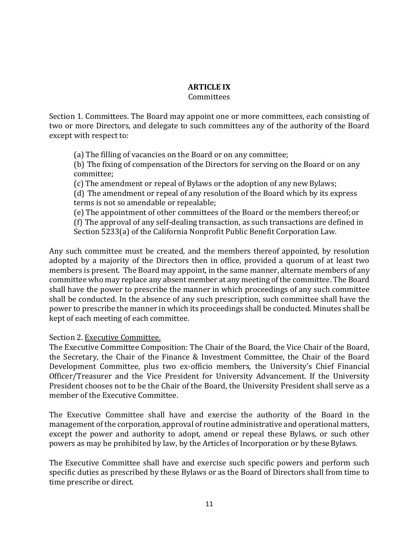# **ARTICLE IX**

#### Committees

Section 1. Committees. The Board may appoint one or more committees, each consisting of two or more Directors, and delegate to such committees any of the authority of the Board except with respect to:

(a) The filling of vacancies on the Board or on any committee;

(b) The fixing of compensation of the Directors for serving on the Board or on any committee;

(c) The amendment or repeal of Bylaws or the adoption of any new Bylaws;

(d) The amendment or repeal of any resolution of the Board which by its express terms is not so amendable or repealable;

(e) The appointment of other committees of the Board or the members thereof;or

(f) The approval of any self-dealing transaction, as such transactions are defined in Section 5233(a) of the California Nonprofit Public Benefit Corporation Law.

Any such committee must be created, and the members thereof appointed, by resolution adopted by a majority of the Directors then in office, provided a quorum of at least two members is present. The Board may appoint, in the same manner, alternate members of any committee who may replace any absent member at any meeting of the committee. The Board shall have the power to prescribe the manner in which proceedings of any such committee shall be conducted. In the absence of any such prescription, such committee shall have the power to prescribe the manner in which its proceedings shall be conducted. Minutes shall be kept of each meeting of each committee.

#### Section 2. Executive Committee.

The Executive Committee Composition: The Chair of the Board, the Vice Chair of the Board, the Secretary, the Chair of the Finance & Investment Committee, the Chair of the Board Development Committee, plus two ex-officio members, the University's Chief Financial Officer/Treasurer and the Vice President for University Advancement. If the University President chooses not to be the Chair of the Board, the University President shall serve as a member of the Executive Committee.

The Executive Committee shall have and exercise the authority of the Board in the management of the corporation, approval of routine administrative and operational matters, except the power and authority to adopt, amend or repeal these Bylaws, or such other powers as may be prohibited by law, by the Articles of Incorporation or by theseBylaws.

The Executive Committee shall have and exercise such specific powers and perform such specific duties as prescribed by these Bylaws or as the Board of Directors shall from time to time prescribe or direct.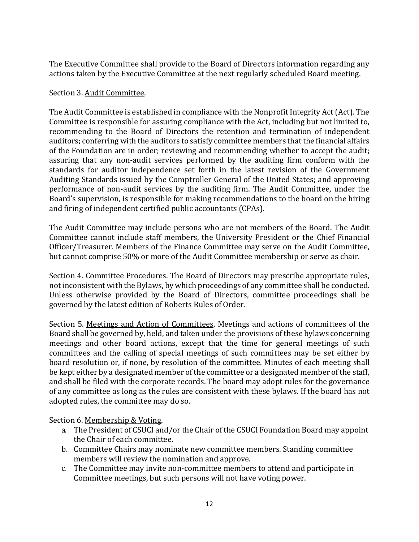The Executive Committee shall provide to the Board of Directors information regarding any actions taken by the Executive Committee at the next regularly scheduled Board meeting.

## Section 3. Audit Committee.

The Audit Committee is established in compliance with the Nonprofit Integrity Act (Act). The Committee is responsible for assuring compliance with the Act, including but not limited to, recommending to the Board of Directors the retention and termination of independent auditors; conferring with the auditors to satisfy committee members that the financial affairs of the Foundation are in order; reviewing and recommending whether to accept the audit; assuring that any non-audit services performed by the auditing firm conform with the standards for auditor independence set forth in the latest revision of the Government Auditing Standards issued by the Comptroller General of the United States; and approving performance of non-audit services by the auditing firm. The Audit Committee, under the Board's supervision, is responsible for making recommendations to the board on the hiring and firing of independent certified public accountants (CPAs).

The Audit Committee may include persons who are not members of the Board. The Audit Committee cannot include staff members, the University President or the Chief Financial Officer/Treasurer. Members of the Finance Committee may serve on the Audit Committee, but cannot comprise 50% or more of the Audit Committee membership or serve as chair.

Section 4. Committee Procedures. The Board of Directors may prescribe appropriate rules, not inconsistent with the Bylaws, by which proceedings of any committee shall be conducted. Unless otherwise provided by the Board of Directors, committee proceedings shall be governed by the latest edition of Roberts Rules of Order.

Section 5. Meetings and Action of Committees. Meetings and actions of committees of the Board shall be governed by, held, and taken under the provisions of these bylaws concerning meetings and other board actions, except that the time for general meetings of such committees and the calling of special meetings of such committees may be set either by board resolution or, if none, by resolution of the committee. Minutes of each meeting shall be kept either by a designated member of the committee or a designated member of the staff, and shall be filed with the corporate records. The board may adopt rules for the governance of any committee as long as the rules are consistent with these bylaws. If the board has not adopted rules, the committee may do so.

Section 6. Membership & Voting.

- a. The President of CSUCI and/or the Chair of the CSUCI Foundation Board may appoint the Chair of each committee.
- b. Committee Chairs may nominate new committee members. Standing committee members will review the nomination and approve.
- c. The Committee may invite non-committee members to attend and participate in Committee meetings, but such persons will not have voting power.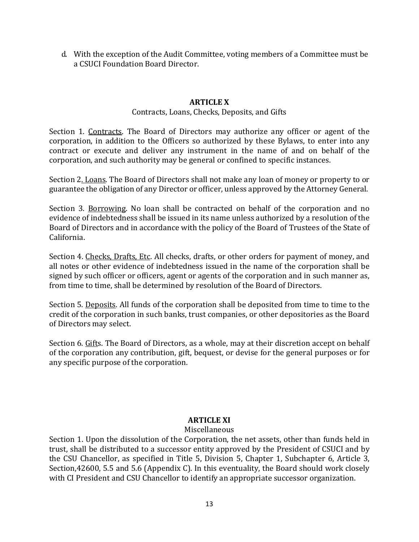d. With the exception of the Audit Committee, voting members of a Committee must be a CSUCI Foundation Board Director.

## **ARTICLE X**

#### Contracts, Loans, Checks, Deposits, and Gifts

Section 1. Contracts. The Board of Directors may authorize any officer or agent of the corporation, in addition to the Officers so authorized by these Bylaws, to enter into any contract or execute and deliver any instrument in the name of and on behalf of the corporation, and such authority may be general or confined to specific instances.

Section 2. Loans. The Board of Directors shall not make any loan of money or property to or guarantee the obligation of any Director or officer, unless approved by the Attorney General.

Section 3. Borrowing. No loan shall be contracted on behalf of the corporation and no evidence of indebtedness shall be issued in its name unless authorized by a resolution of the Board of Directors and in accordance with the policy of the Board of Trustees of the State of California.

Section 4. Checks, Drafts, Etc. All checks, drafts, or other orders for payment of money, and all notes or other evidence of indebtedness issued in the name of the corporation shall be signed by such officer or officers, agent or agents of the corporation and in such manner as, from time to time, shall be determined by resolution of the Board of Directors.

Section 5. Deposits. All funds of the corporation shall be deposited from time to time to the credit of the corporation in such banks, trust companies, or other depositories as the Board of Directors may select.

Section 6. Gifts. The Board of Directors, as a whole, may at their discretion accept on behalf of the corporation any contribution, gift, bequest, or devise for the general purposes or for any specific purpose of the corporation.

#### **ARTICLE XI**

#### Miscellaneous

Section 1. Upon the dissolution of the Corporation, the net assets, other than funds held in trust, shall be distributed to a successor entity approved by the President of CSUCI and by the CSU Chancellor, as specified in Title 5, Division 5, Chapter 1, Subchapter 6, Article 3, Section,42600, 5.5 and 5.6 (Appendix C). In this eventuality, the Board should work closely with CI President and CSU Chancellor to identify an appropriate successor organization.